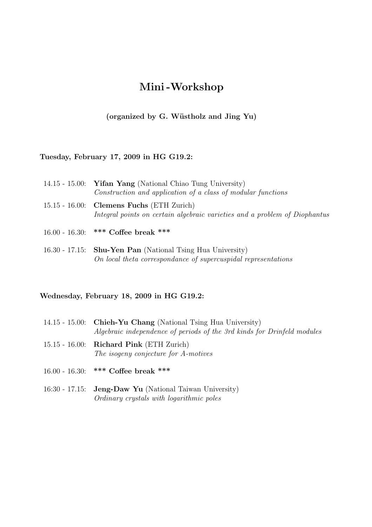# Mini-Workshop

(organized by G. Wüstholz and Jing Yu)

## Tuesday, February 17, 2009 in HG G19.2:

| 14.15 - 15.00: <b>Yifan Yang</b> (National Chiao Tung University)                                                          |
|----------------------------------------------------------------------------------------------------------------------------|
| Construction and application of a class of modular functions                                                               |
| $15.15 - 16.00$ : Clemens Fuchs (ETH Zurich)<br>Integral points on certain algebraic varieties and a problem of Diophantus |

- 16.00 16.30: \*\*\* Coffee break \*\*\*
- 16.30 17.15: Shu-Yen Pan (National Tsing Hua University) On local theta correspondance of supercuspidal representations

## Wednesday, February 18, 2009 in HG G19.2:

- 14.15 15.00: Chieh-Yu Chang (National Tsing Hua University) Algebraic independence of periods of the 3rd kinds for Drinfeld modules
- 15.15 16.00: Richard Pink (ETH Zurich) The isogeny conjecture for A-motives
- 16.00 16.30: \*\*\* Coffee break \*\*\*
- 16:30 17.15: Jeng-Daw Yu (National Taiwan University) Ordinary crystals with logarithmic poles